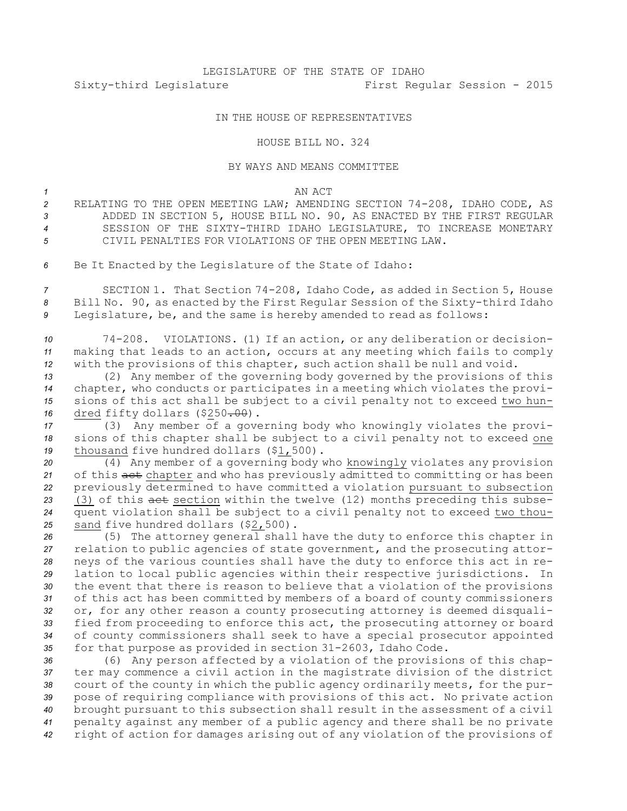## LEGISLATURE OF THE STATE OF IDAHO Sixty-third Legislature First Regular Session - 2015

## IN THE HOUSE OF REPRESENTATIVES

## HOUSE BILL NO. 324

## BY WAYS AND MEANS COMMITTEE

*1* AN ACT

- *<sup>2</sup>* RELATING TO THE OPEN MEETING LAW; AMENDING SECTION 74-208, IDAHO CODE, AS *<sup>3</sup>* ADDED IN SECTION 5, HOUSE BILL NO. 90, AS ENACTED BY THE FIRST REGULAR *4* SESSION OF THE SIXTY-THIRD IDAHO LEGISLATURE, TO INCREASE MONETARY *5* CIVIL PENALTIES FOR VIOLATIONS OF THE OPEN MEETING LAW.
- *<sup>6</sup>* Be It Enacted by the Legislature of the State of Idaho:

*<sup>7</sup>* SECTION 1. That Section 74-208, Idaho Code, as added in Section 5, House *<sup>8</sup>* Bill No. 90, as enacted by the First Regular Session of the Sixty-third Idaho *<sup>9</sup>* Legislature, be, and the same is hereby amended to read as follows:

*<sup>10</sup>* 74-208. VIOLATIONS. (1) If an action, or any deliberation or decision-*<sup>11</sup>* making that leads to an action, occurs at any meeting which fails to comply *<sup>12</sup>* with the provisions of this chapter, such action shall be null and void.

 (2) Any member of the governing body governed by the provisions of this chapter, who conducts or participates in <sup>a</sup> meeting which violates the provi- sions of this act shall be subject to <sup>a</sup> civil penalty not to exceed two hun-dred fifty dollars (\$250<del>.00</del>).

*<sup>17</sup>* (3) Any member of <sup>a</sup> governing body who knowingly violates the provi-*<sup>18</sup>* sions of this chapter shall be subject to <sup>a</sup> civil penalty not to exceed one 19 thousand five hundred dollars (\$1,500).

 (4) Any member of <sup>a</sup> governing body who knowingly violates any provision 21 of this act chapter and who has previously admitted to committing or has been previously determined to have committed <sup>a</sup> violation pursuant to subsection 23 (3) of this aet section within the twelve (12) months preceding this subse- quent violation shall be subject to <sup>a</sup> civil penalty not to exceed two thou-sand five hundred dollars (\$2,500).

 (5) The attorney general shall have the duty to enforce this chapter in relation to public agencies of state government, and the prosecuting attor- neys of the various counties shall have the duty to enforce this act in re- lation to local public agencies within their respective jurisdictions. In the event that there is reason to believe that <sup>a</sup> violation of the provisions of this act has been committed by members of <sup>a</sup> board of county commissioners or, for any other reason <sup>a</sup> county prosecuting attorney is deemed disquali- fied from proceeding to enforce this act, the prosecuting attorney or board of county commissioners shall seek to have <sup>a</sup> special prosecutor appointed for that purpose as provided in section 31-2603, Idaho Code.

 (6) Any person affected by <sup>a</sup> violation of the provisions of this chap- ter may commence <sup>a</sup> civil action in the magistrate division of the district court of the county in which the public agency ordinarily meets, for the pur- pose of requiring compliance with provisions of this act. No private action brought pursuant to this subsection shall result in the assessment of <sup>a</sup> civil penalty against any member of <sup>a</sup> public agency and there shall be no private right of action for damages arising out of any violation of the provisions of